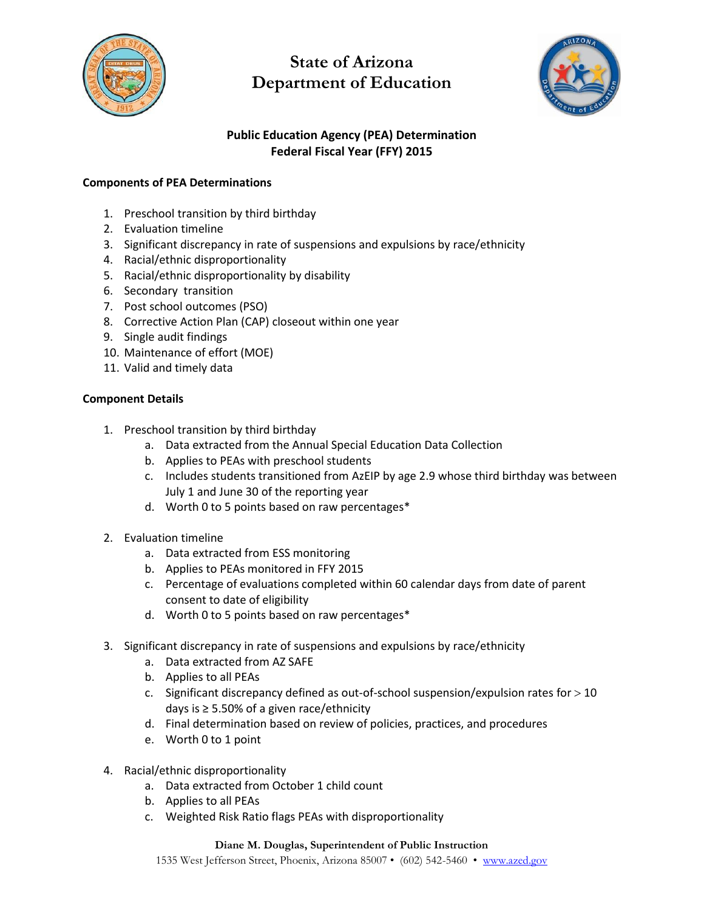

# **State of Arizona Department of Education**



### **Public Education Agency (PEA) Determination Federal Fiscal Year (FFY) 2015**

### **Components of PEA Determinations**

- 1. Preschool transition by third birthday
- 2. Evaluation timeline
- 3. Significant discrepancy in rate of suspensions and expulsions by race/ethnicity
- 4. Racial/ethnic disproportionality
- 5. Racial/ethnic disproportionality by disability
- 6. Secondary transition
- 7. Post school outcomes (PSO)
- 8. Corrective Action Plan (CAP) closeout within one year
- 9. Single audit findings
- 10. Maintenance of effort (MOE)
- 11. Valid and timely data

### **Component Details**

- 1. Preschool transition by third birthday
	- a. Data extracted from the Annual Special Education Data Collection
	- b. Applies to PEAs with preschool students
	- c. Includes students transitioned from AzEIP by age 2.9 whose third birthday was between July 1 and June 30 of the reporting year
	- d. Worth 0 to 5 points based on raw percentages\*
- 2. Evaluation timeline
	- a. Data extracted from ESS monitoring
	- b. Applies to PEAs monitored in FFY 2015
	- c. Percentage of evaluations completed within 60 calendar days from date of parent consent to date of eligibility
	- d. Worth 0 to 5 points based on raw percentages\*
- 3. Significant discrepancy in rate of suspensions and expulsions by race/ethnicity
	- a. Data extracted from AZ SAFE
	- b. Applies to all PEAs
	- c. Significant discrepancy defined as out-of-school suspension/expulsion rates for  $>$  10 days is ≥ 5.50% of a given race/ethnicity
	- d. Final determination based on review of policies, practices, and procedures
	- e. Worth 0 to 1 point
- 4. Racial/ethnic disproportionality
	- a. Data extracted from October 1 child count
	- b. Applies to all PEAs
	- c. Weighted Risk Ratio flags PEAs with disproportionality

#### **Diane M. Douglas, Superintendent of Public Instruction**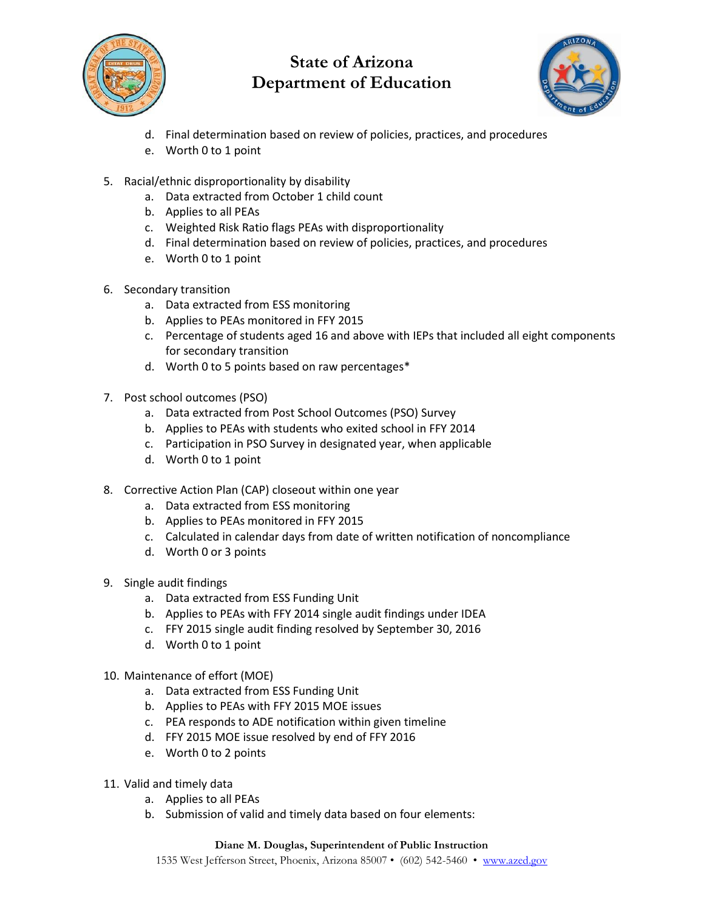

## **State of Arizona Department of Education**



- d. Final determination based on review of policies, practices, and procedures
- e. Worth 0 to 1 point
- 5. Racial/ethnic disproportionality by disability
	- a. Data extracted from October 1 child count
	- b. Applies to all PEAs
	- c. Weighted Risk Ratio flags PEAs with disproportionality
	- d. Final determination based on review of policies, practices, and procedures
	- e. Worth 0 to 1 point
- 6. Secondary transition
	- a. Data extracted from ESS monitoring
	- b. Applies to PEAs monitored in FFY 2015
	- c. Percentage of students aged 16 and above with IEPs that included all eight components for secondary transition
	- d. Worth 0 to 5 points based on raw percentages\*
- 7. Post school outcomes (PSO)
	- a. Data extracted from Post School Outcomes (PSO) Survey
	- b. Applies to PEAs with students who exited school in FFY 2014
	- c. Participation in PSO Survey in designated year, when applicable
	- d. Worth 0 to 1 point
- 8. Corrective Action Plan (CAP) closeout within one year
	- a. Data extracted from ESS monitoring
	- b. Applies to PEAs monitored in FFY 2015
	- c. Calculated in calendar days from date of written notification of noncompliance
	- d. Worth 0 or 3 points
- 9. Single audit findings
	- a. Data extracted from ESS Funding Unit
	- b. Applies to PEAs with FFY 2014 single audit findings under IDEA
	- c. FFY 2015 single audit finding resolved by September 30, 2016
	- d. Worth 0 to 1 point
- 10. Maintenance of effort (MOE)
	- a. Data extracted from ESS Funding Unit
	- b. Applies to PEAs with FFY 2015 MOE issues
	- c. PEA responds to ADE notification within given timeline
	- d. FFY 2015 MOE issue resolved by end of FFY 2016
	- e. Worth 0 to 2 points
- 11. Valid and timely data
	- a. Applies to all PEAs
	- b. Submission of valid and timely data based on four elements: